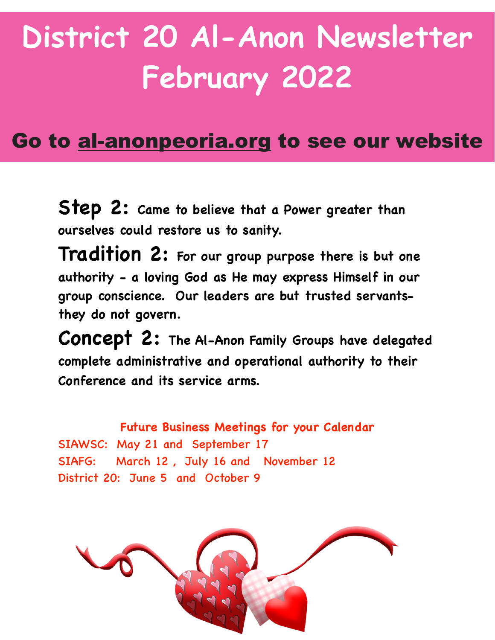## **District 20 Al-Anon Newsletter February 2022**

## Go to al-anonpeoria.org to see our website

**Step 2: Came to believe that a Power greater than ourselves could restore us to sanity.** 

**Tradition 2: For our group purpose there is but one authority - a loving God as He may express Himself in our group conscience. Our leaders are but trusted servantsthey do not govern.** 

**Concept 2: The Al-Anon Family Groups have delegated complete administrative and operational authority to their Conference and its service arms.**

**Future Business Meetings for your Calendar**  SIAWSC: May 21 and September 17 SIAFG: March 12 , July 16 and November 12 District 20: June 5 and October 9